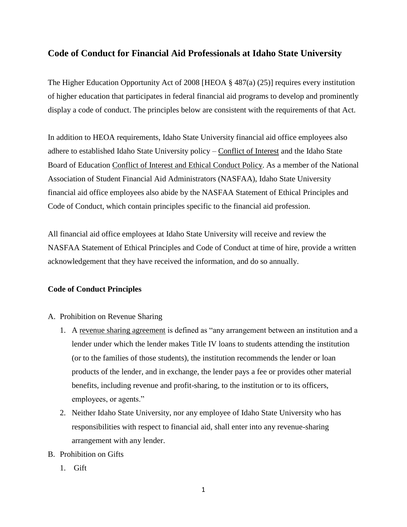## **Code of Conduct for Financial Aid Professionals at Idaho State University**

The Higher Education Opportunity Act of 2008 [HEOA § 487(a) (25)] requires every institution of higher education that participates in federal financial aid programs to develop and prominently display a code of conduct. The principles below are consistent with the requirements of that Act.

In addition to HEOA requirements, Idaho State University financial aid office employees also adhere to established Idaho State University policy – Conflict of Interest and the Idaho State Board of Education Conflict of Interest and Ethical Conduct Policy. As a member of the National Association of Student Financial Aid Administrators (NASFAA), Idaho State University financial aid office employees also abide by the NASFAA Statement of Ethical Principles and Code of Conduct, which contain principles specific to the financial aid profession.

All financial aid office employees at Idaho State University will receive and review the NASFAA Statement of Ethical Principles and Code of Conduct at time of hire, provide a written acknowledgement that they have received the information, and do so annually.

## **Code of Conduct Principles**

- A. Prohibition on Revenue Sharing
	- 1. A revenue sharing agreement is defined as "any arrangement between an institution and a lender under which the lender makes Title IV loans to students attending the institution (or to the families of those students), the institution recommends the lender or loan products of the lender, and in exchange, the lender pays a fee or provides other material benefits, including revenue and profit-sharing, to the institution or to its officers, employees, or agents."
	- 2. Neither Idaho State University, nor any employee of Idaho State University who has responsibilities with respect to financial aid, shall enter into any revenue-sharing arrangement with any lender.
- B. Prohibition on Gifts
	- 1. Gift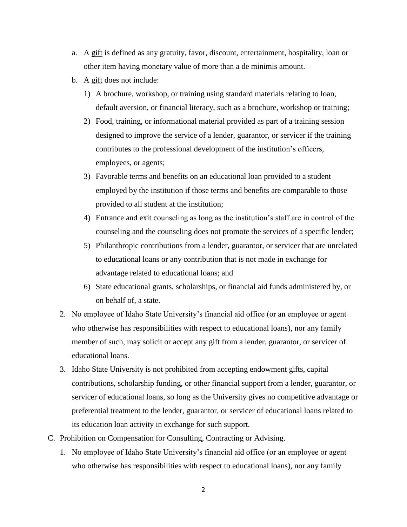- a. A gift is defined as any gratuity, favor, discount, entertainment, hospitality, loan or other item having monetary value of more than a de minimis amount.
- b. A gift does not include:
	- 1) A brochure, workshop, or training using standard materials relating to loan, default aversion, or financial literacy, such as a brochure, workshop or training;
	- 2) Food, training, or informational material provided as part of a training session designed to improve the service of a lender, guarantor, or servicer if the training contributes to the professional development of the institution's officers, employees, or agents;
	- 3) Favorable terms and benefits on an educational loan provided to a student employed by the institution if those terms and benefits are comparable to those provided to all student at the institution;
	- 4) Entrance and exit counseling as long as the institution's staff are in control of the counseling and the counseling does not promote the services of a specific lender;
	- 5) Philanthropic contributions from a lender, guarantor, or servicer that are unrelated to educational loans or any contribution that is not made in exchange for advantage related to educational loans; and
	- 6) State educational grants, scholarships, or financial aid funds administered by, or on behalf of, a state.
- 2. No employee of Idaho State University's financial aid office (or an employee or agent who otherwise has responsibilities with respect to educational loans), nor any family member of such, may solicit or accept any gift from a lender, guarantor, or servicer of educational loans.
- 3. Idaho State University is not prohibited from accepting endowment gifts, capital contributions, scholarship funding, or other financial support from a lender, guarantor, or servicer of educational loans, so long as the University gives no competitive advantage or preferential treatment to the lender, guarantor, or servicer of educational loans related to its education loan activity in exchange for such support.
- C. Prohibition on Compensation for Consulting, Contracting or Advising.
	- 1. No employee of Idaho State University's financial aid office (or an employee or agent who otherwise has responsibilities with respect to educational loans), nor any family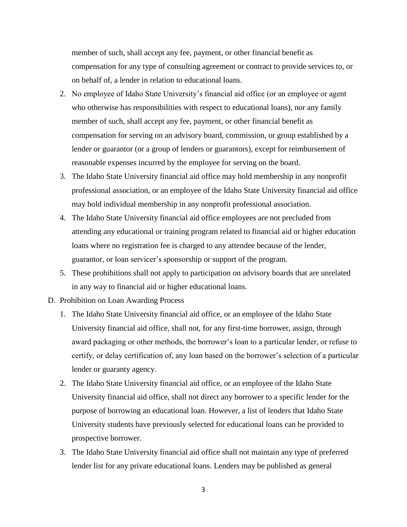member of such, shall accept any fee, payment, or other financial benefit as compensation for any type of consulting agreement or contract to provide services to, or on behalf of, a lender in relation to educational loans.

- 2. No employee of Idaho State University's financial aid office (or an employee or agent who otherwise has responsibilities with respect to educational loans), nor any family member of such, shall accept any fee, payment, or other financial benefit as compensation for serving on an advisory board, commission, or group established by a lender or guarantor (or a group of lenders or guarantors), except for reimbursement of reasonable expenses incurred by the employee for serving on the board.
- 3. The Idaho State University financial aid office may hold membership in any nonprofit professional association, or an employee of the Idaho State University financial aid office may hold individual membership in any nonprofit professional association.
- 4. The Idaho State University financial aid office employees are not precluded from attending any educational or training program related to financial aid or higher education loans where no registration fee is charged to any attendee because of the lender, guarantor, or loan servicer's sponsorship or support of the program.
- 5. These prohibitions shall not apply to participation on advisory boards that are unrelated in any way to financial aid or higher educational loans.
- D. Prohibition on Loan Awarding Process
	- 1. The Idaho State University financial aid office, or an employee of the Idaho State University financial aid office, shall not, for any first-time borrower, assign, through award packaging or other methods, the borrower's loan to a particular lender, or refuse to certify, or delay certification of, any loan based on the borrower's selection of a particular lender or guaranty agency.
	- 2. The Idaho State University financial aid office, or an employee of the Idaho State University financial aid office, shall not direct any borrower to a specific lender for the purpose of borrowing an educational loan. However, a list of lenders that Idaho State University students have previously selected for educational loans can be provided to prospective borrower.
	- 3. The Idaho State University financial aid office shall not maintain any type of preferred lender list for any private educational loans. Lenders may be published as general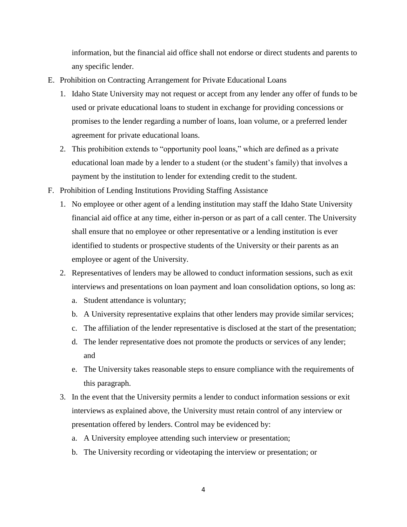information, but the financial aid office shall not endorse or direct students and parents to any specific lender.

- E. Prohibition on Contracting Arrangement for Private Educational Loans
	- 1. Idaho State University may not request or accept from any lender any offer of funds to be used or private educational loans to student in exchange for providing concessions or promises to the lender regarding a number of loans, loan volume, or a preferred lender agreement for private educational loans.
	- 2. This prohibition extends to "opportunity pool loans," which are defined as a private educational loan made by a lender to a student (or the student's family) that involves a payment by the institution to lender for extending credit to the student.
- F. Prohibition of Lending Institutions Providing Staffing Assistance
	- 1. No employee or other agent of a lending institution may staff the Idaho State University financial aid office at any time, either in-person or as part of a call center. The University shall ensure that no employee or other representative or a lending institution is ever identified to students or prospective students of the University or their parents as an employee or agent of the University.
	- 2. Representatives of lenders may be allowed to conduct information sessions, such as exit interviews and presentations on loan payment and loan consolidation options, so long as:
		- a. Student attendance is voluntary;
		- b. A University representative explains that other lenders may provide similar services;
		- c. The affiliation of the lender representative is disclosed at the start of the presentation;
		- d. The lender representative does not promote the products or services of any lender; and
		- e. The University takes reasonable steps to ensure compliance with the requirements of this paragraph.
	- 3. In the event that the University permits a lender to conduct information sessions or exit interviews as explained above, the University must retain control of any interview or presentation offered by lenders. Control may be evidenced by:
		- a. A University employee attending such interview or presentation;
		- b. The University recording or videotaping the interview or presentation; or